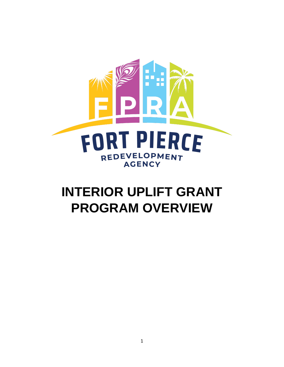

## **INTERIOR UPLIFT GRANT PROGRAM OVERVIEW**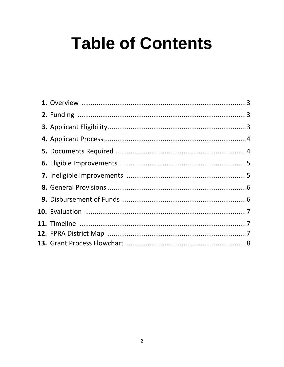# **Table of Contents**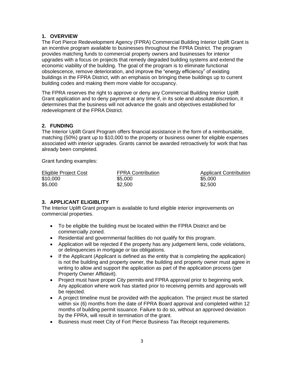#### **1. OVERVIEW**

The Fort Pierce Redevelopment Agency (FPRA) Commercial Building Interior Uplift Grant is an incentive program available to businesses throughout the FPRA District. The program provides matching funds to commercial property owners and businesses for interior upgrades with a focus on projects that remedy degraded building systems and extend the economic viability of the building. The goal of the program is to eliminate functional obsolescence, remove deterioration, and improve the "energy efficiency" of existing buildings in the FPRA District, with an emphasis on bringing these buildings up to current building codes and making them more viable for occupancy.

The FPRA reserves the right to approve or deny any Commercial Building Interior Uplift Grant application and to deny payment at any time if, in its sole and absolute discretion, it determines that the business will not advance the goals and objectives established for redevelopment of the FPRA District.

#### **2. FUNDING**

The Interior Uplift Grant Program offers financial assistance in the form of a reimbursable, matching (50%) grant up to \$10,000 to the property or business owner for eligible expenses associated with interior upgrades. Grants cannot be awarded retroactively for work that has already been completed.

Grant funding examples:

| Eligible Project Cost | <b>FPRA Contribution</b> | <b>Applicant Contribution</b> |
|-----------------------|--------------------------|-------------------------------|
| \$10,000              | \$5,000                  | \$5,000                       |
| \$5,000               | \$2,500                  | \$2,500                       |

#### **3. APPLICANT ELIGIBLITY**

The Interior Uplift Grant program is available to fund eligible interior improvements on commercial properties.

- To be eligible the building must be located within the FPRA District and be commercially zoned.
- Residential and governmental facilities do not qualify for this program.
- Application will be rejected if the property has any judgement liens, code violations, or delinquencies in mortgage or tax obligations.
- If the Applicant (Applicant is defined as the entity that is completing the application) is not the building and property owner, the building and property owner must agree in writing to allow and support the application as part of the application process (per Property Owner Affidavit).
- Project must have proper City permits and FPRA approval prior to beginning work. Any application where work has started prior to receiving permits and approvals will be rejected.
- A project timeline must be provided with the application. The project must be started within six (6) months from the date of FPRA Board approval and completed within 12 months of building permit issuance. Failure to do so, without an approved deviation by the FPRA, will result in termination of the grant.
- Business must meet City of Fort Pierce Business Tax Receipt requirements.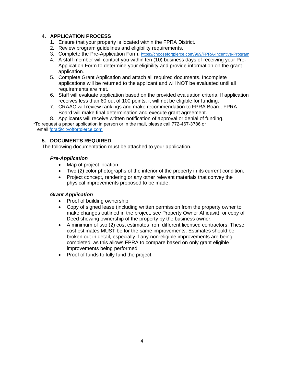#### **4. APPLICATION PROCESS**

- 1. Ensure that your property is located within the FPRA District.
- 2. Review program guidelines and eligibility requirements.
- 3. Complete the Pre-Application Form. <https://choosefortpierce.com/969/FPRA-Incentive-Program>
- 4. A staff member will contact you within ten (10) business days of receiving your Pre-Application Form to determine your eligibility and provide information on the grant application.
- 5. Complete Grant Application and attach all required documents. Incomplete applications will be returned to the applicant and will NOT be evaluated until all requirements are met.
- 6. Staff will evaluate application based on the provided evaluation criteria. If application receives less than 60 out of 100 points, it will not be eligible for funding.
- 7. CRAAC will review rankings and make recommendation to FPRA Board. FPRA Board will make final determination and execute grant agreement.
- 8. Applicants will receive written notification of approval or denial of funding.

\*To request a paper application in person or in the mail, please call 772-467-3786 or email [fpra@cityoffortpierce.com](mailto:fpra@cityoffortpierce.com)

#### **5. DOCUMENTS REQUIRED**

The following documentation must be attached to your application.

#### *Pre-Application*

- Map of project location.
- Two (2) color photographs of the interior of the property in its current condition.
- Project concept, rendering or any other relevant materials that convey the physical improvements proposed to be made.

#### *Grant Application*

- Proof of building ownership
- Copy of signed lease (including written permission from the property owner to make changes outlined in the project, see Property Owner Affidavit), or copy of Deed showing ownership of the property by the business owner.
- A minimum of two (2) cost estimates from different licensed contractors. These cost estimates MUST be for the same improvements. Estimates should be broken out in detail, especially if any non-eligible improvements are being completed, as this allows FPRA to compare based on only grant eligible improvements being performed.
- Proof of funds to fully fund the project.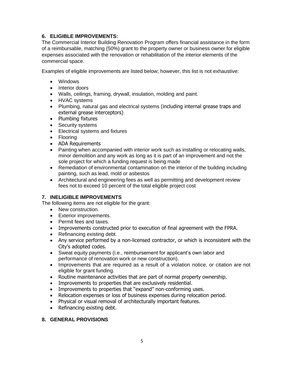#### **6. ELIGIBLE IMPROVEMENTS:**

The Commercial Interior Building Renovation Program offers financial assistance in the form of a reimbursable, matching (50%) grant to the property owner or business owner for eligible expenses associated with the renovation or rehabilitation of the interior elements of the commercial space.

Examples of eligible improvements are listed below; however, this list is not exhaustive:

- Windows
- Interior doors
- Walls, ceilings, framing, drywall, insulation, molding and paint.
- HVAC systems
- Plumbing, natural gas and electrical systems (including internal grease traps and external grease interceptors)
- Plumbing fixtures
- Security systems
- Electrical systems and fixtures
- Flooring
- ADA Requirements
- Painting when accompanied with interior work such as installing or relocating walls, minor demolition and any work as long as it is part of an improvement and not the sole project for which a funding request is being made
- Remediation of environmental contamination on the interior of the building including painting, such as lead, mold or asbestos
- Architectural and engineering fees as well as permitting and development review fees not to exceed 10 percent of the total eligible project cost

#### **7. INELIGIBLE IMPROVEMENTS**

The following items are not eligible for the grant:

- New construction.
- Exterior improvements.
- Permit fees and taxes.
- Improvements constructed prior to execution of final agreement with the FPRA.
- Refinancing existing debt.
- Any service performed by a non-licensed contractor, or which is inconsistent with the City's adopted codes.
- Sweat equity payments (i.e., reimbursement for applicant's own labor and performance of renovation work or new construction).
- Improvements that are required as a result of a violation notice, or citation are not eligible for grant funding.
- Routine maintenance activities that are part of normal property ownership.
- Improvements to properties that are exclusively residential.
- Improvements to properties that "expand" non-conforming uses.
- Relocation expenses or loss of business expenses during relocation period.
- Physical or visual removal of architecturally important features.
- Refinancing existing debt.

#### **8. GENERAL PROVISIONS**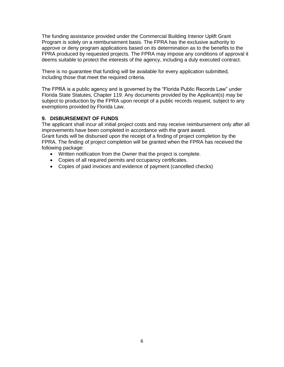The funding assistance provided under the Commercial Building Interior Uplift Grant Program is solely on a reimbursement basis. The FPRA has the exclusive authority to approve or deny program applications based on its determination as to the benefits to the FPRA produced by requested projects. The FPRA may impose any conditions of approval it deems suitable to protect the interests of the agency, including a duly executed contract.

There is no guarantee that funding will be available for every application submitted, including those that meet the required criteria.

The FPRA is a public agency and is governed by the "Florida Public Records Law" under Florida State Statutes, Chapter 119. Any documents provided by the Applicant(s) may be subject to production by the FPRA upon receipt of a public records request, subject to any exemptions provided by Florida Law.

#### **9. DISBURSEMENT OF FUNDS**

The applicant shall incur all initial project costs and may receive reimbursement only after all improvements have been completed in accordance with the grant award. Grant funds will be disbursed upon the receipt of a finding of project completion by the FPRA. The finding of project completion will be granted when the FPRA has received the following package:

- Written notification from the Owner that the project is complete.
- Copies of all required permits and occupancy certificates.
- Copies of paid invoices and evidence of payment (cancelled checks)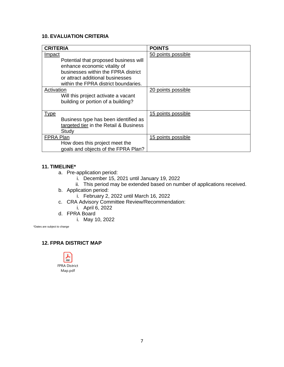#### **10. EVALUATION CRITERIA**

| <b>CRITERIA</b>                                                                                                 | <b>POINTS</b>      |
|-----------------------------------------------------------------------------------------------------------------|--------------------|
| <u>Impact</u>                                                                                                   | 50 points possible |
| Potential that proposed business will<br>enhance economic vitality of                                           |                    |
| businesses within the FPRA district<br>or attract additional businesses<br>within the FPRA district boundaries. |                    |
| Activation                                                                                                      | 20 points possible |
| Will this project activate a vacant                                                                             |                    |
| building or portion of a building?                                                                              |                    |
| <u>Type</u>                                                                                                     | 15 points possible |
| Business type has been identified as                                                                            |                    |
| targeted tier in the Retail & Business                                                                          |                    |
| Study                                                                                                           |                    |
| <b>FPRA Plan</b>                                                                                                | 15 points possible |
| How does this project meet the                                                                                  |                    |
| goals and objects of the FPRA Plan?                                                                             |                    |

#### **11. TIMELINE\***

- a. Pre-application period:
	- i. December 15, 2021 until January 19, 2022
	- ii. This period may be extended based on number of applications received.
- b. Application period:
	- i. February 2, 2022 until March 16, 2022
- c. CRA Advisory Committee Review/Recommendation:
	- i. April 6, 2022
- d. FPRA Board
	- i. May 10, 2022

\*Dates are subject to change

#### **12. FPRA DISTRICT MAP**